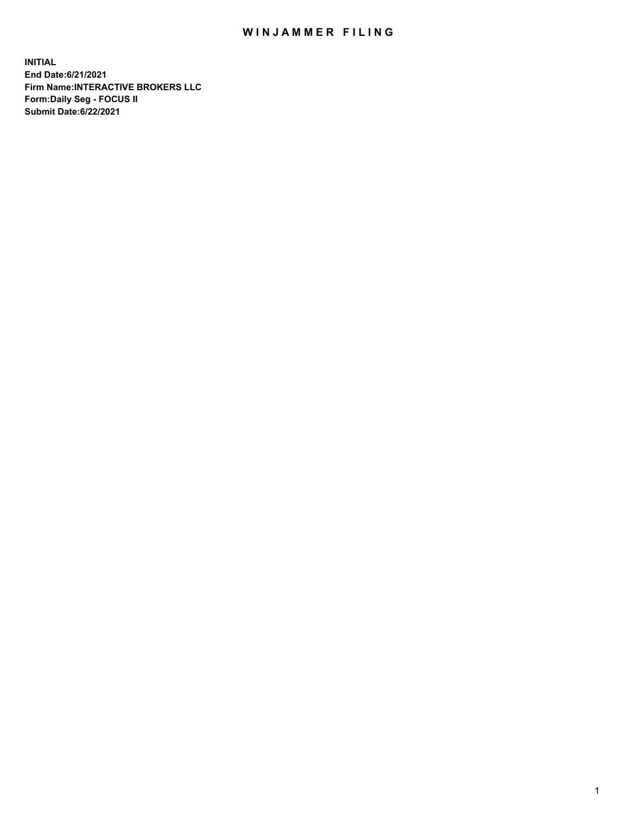## WIN JAMMER FILING

**INITIAL End Date:6/21/2021 Firm Name:INTERACTIVE BROKERS LLC Form:Daily Seg - FOCUS II Submit Date:6/22/2021**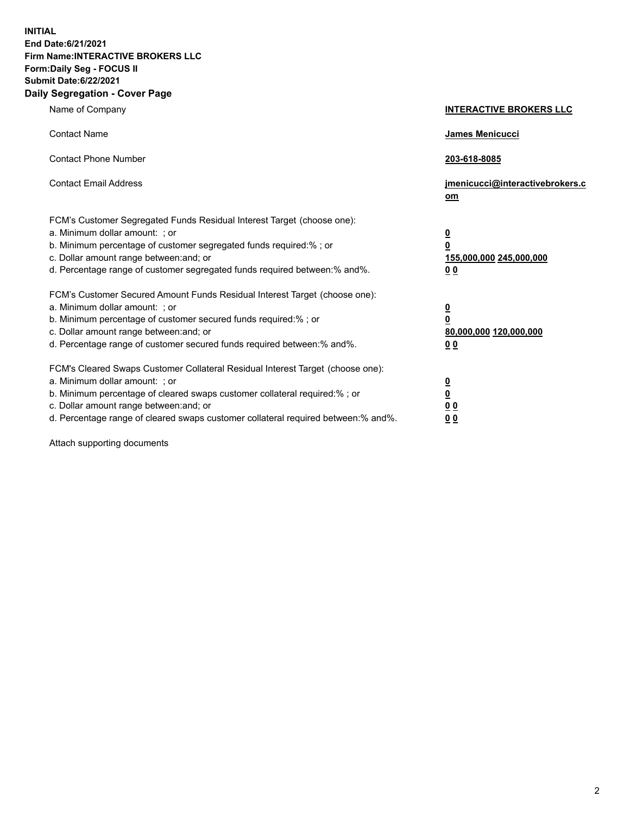**INITIAL End Date:6/21/2021 Firm Name:INTERACTIVE BROKERS LLC Form:Daily Seg - FOCUS II Submit Date:6/22/2021 Daily Segregation - Cover Page**

| Name of Company                                                                                                                                                                                                                                                                                                                | <b>INTERACTIVE BROKERS LLC</b>                                                   |
|--------------------------------------------------------------------------------------------------------------------------------------------------------------------------------------------------------------------------------------------------------------------------------------------------------------------------------|----------------------------------------------------------------------------------|
| <b>Contact Name</b>                                                                                                                                                                                                                                                                                                            | James Menicucci                                                                  |
| <b>Contact Phone Number</b>                                                                                                                                                                                                                                                                                                    | 203-618-8085                                                                     |
| <b>Contact Email Address</b>                                                                                                                                                                                                                                                                                                   | jmenicucci@interactivebrokers.c<br>om                                            |
| FCM's Customer Segregated Funds Residual Interest Target (choose one):<br>a. Minimum dollar amount: ; or<br>b. Minimum percentage of customer segregated funds required:% ; or<br>c. Dollar amount range between: and; or<br>d. Percentage range of customer segregated funds required between:% and%.                         | <u>0</u><br>$\overline{\mathbf{0}}$<br>155,000,000 245,000,000<br>0 <sub>0</sub> |
| FCM's Customer Secured Amount Funds Residual Interest Target (choose one):<br>a. Minimum dollar amount: ; or<br>b. Minimum percentage of customer secured funds required:% ; or<br>c. Dollar amount range between: and; or<br>d. Percentage range of customer secured funds required between:% and%.                           | <u>0</u><br>$\overline{\mathbf{0}}$<br>80,000,000 120,000,000<br>0 <sub>0</sub>  |
| FCM's Cleared Swaps Customer Collateral Residual Interest Target (choose one):<br>a. Minimum dollar amount: ; or<br>b. Minimum percentage of cleared swaps customer collateral required:% ; or<br>c. Dollar amount range between: and; or<br>d. Percentage range of cleared swaps customer collateral required between:% and%. | <u>0</u><br>$\underline{\mathbf{0}}$<br>0 <sub>0</sub><br>0 <sub>0</sub>         |

Attach supporting documents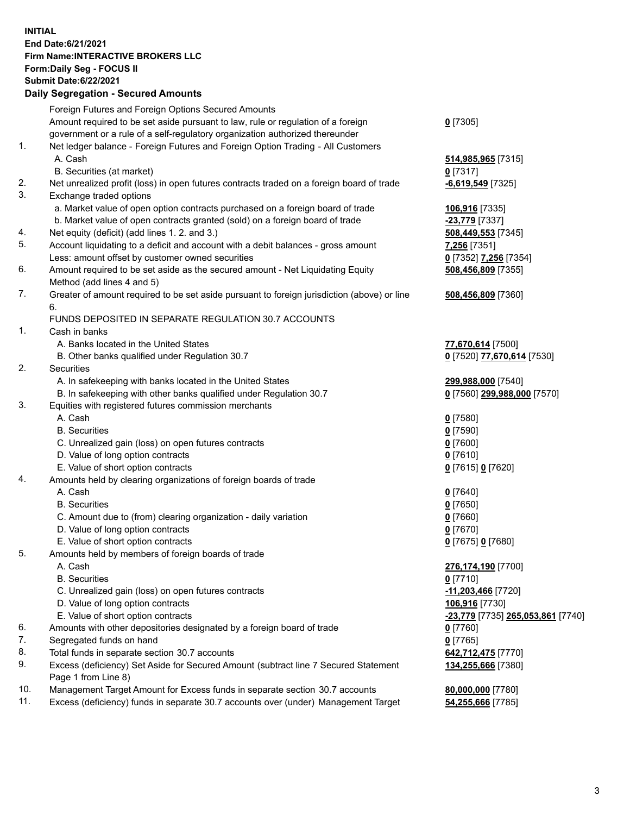## **INITIAL End Date:6/21/2021 Firm Name:INTERACTIVE BROKERS LLC Form:Daily Seg - FOCUS II Submit Date:6/22/2021**

|     | <b>Daily Segregation - Secured Amounts</b>                                                  |                                   |
|-----|---------------------------------------------------------------------------------------------|-----------------------------------|
|     | Foreign Futures and Foreign Options Secured Amounts                                         |                                   |
|     | Amount required to be set aside pursuant to law, rule or regulation of a foreign            | $0$ [7305]                        |
|     | government or a rule of a self-regulatory organization authorized thereunder                |                                   |
| 1.  | Net ledger balance - Foreign Futures and Foreign Option Trading - All Customers             |                                   |
|     | A. Cash                                                                                     | 514,985,965 [7315]                |
|     | B. Securities (at market)                                                                   | $0$ [7317]                        |
| 2.  | Net unrealized profit (loss) in open futures contracts traded on a foreign board of trade   | $-6,619,549$ [7325]               |
| 3.  | Exchange traded options                                                                     |                                   |
|     | a. Market value of open option contracts purchased on a foreign board of trade              | 106,916 [7335]                    |
|     | b. Market value of open contracts granted (sold) on a foreign board of trade                | -23,779 [7337]                    |
| 4.  | Net equity (deficit) (add lines 1. 2. and 3.)                                               | 508,449,553 [7345]                |
| 5.  | Account liquidating to a deficit and account with a debit balances - gross amount           | 7,256 [7351]                      |
|     | Less: amount offset by customer owned securities                                            | 0 [7352] 7,256 [7354]             |
| 6.  | Amount required to be set aside as the secured amount - Net Liquidating Equity              | 508,456,809 [7355]                |
|     | Method (add lines 4 and 5)                                                                  |                                   |
| 7.  | Greater of amount required to be set aside pursuant to foreign jurisdiction (above) or line | 508,456,809 [7360]                |
|     | 6.                                                                                          |                                   |
|     | FUNDS DEPOSITED IN SEPARATE REGULATION 30.7 ACCOUNTS                                        |                                   |
| 1.  | Cash in banks                                                                               |                                   |
|     | A. Banks located in the United States                                                       | 77,670,614 [7500]                 |
|     | B. Other banks qualified under Regulation 30.7                                              | 0 [7520] 77,670,614 [7530]        |
| 2.  | Securities                                                                                  |                                   |
|     | A. In safekeeping with banks located in the United States                                   | 299,988,000 [7540]                |
|     | B. In safekeeping with other banks qualified under Regulation 30.7                          | 0 [7560] 299,988,000 [7570]       |
| 3.  | Equities with registered futures commission merchants                                       |                                   |
|     | A. Cash                                                                                     | $0$ [7580]                        |
|     | <b>B.</b> Securities                                                                        | $0$ [7590]                        |
|     | C. Unrealized gain (loss) on open futures contracts                                         | $0$ [7600]                        |
|     | D. Value of long option contracts<br>E. Value of short option contracts                     | $0$ [7610]                        |
| 4.  | Amounts held by clearing organizations of foreign boards of trade                           | 0 [7615] 0 [7620]                 |
|     | A. Cash                                                                                     | $0$ [7640]                        |
|     | <b>B.</b> Securities                                                                        | $0$ [7650]                        |
|     | C. Amount due to (from) clearing organization - daily variation                             | $0$ [7660]                        |
|     | D. Value of long option contracts                                                           | $0$ [7670]                        |
|     | E. Value of short option contracts                                                          | 0 [7675] 0 [7680]                 |
| 5.  | Amounts held by members of foreign boards of trade                                          |                                   |
|     | A. Cash                                                                                     | 276,174,190 [7700]                |
|     | <b>B.</b> Securities                                                                        | $0$ [7710]                        |
|     | C. Unrealized gain (loss) on open futures contracts                                         | $-11,203,466$ [7720]              |
|     | D. Value of long option contracts                                                           | 106,916 [7730]                    |
|     | E. Value of short option contracts                                                          | -23,779 [7735] 265,053,861 [7740] |
| 6.  | Amounts with other depositories designated by a foreign board of trade                      | $0$ [7760]                        |
| 7.  | Segregated funds on hand                                                                    | $0$ [7765]                        |
| 8.  | Total funds in separate section 30.7 accounts                                               | 642,712,475 [7770]                |
| 9.  | Excess (deficiency) Set Aside for Secured Amount (subtract line 7 Secured Statement         | 134,255,666 [7380]                |
|     | Page 1 from Line 8)                                                                         |                                   |
| 10. | Management Target Amount for Excess funds in separate section 30.7 accounts                 | 80,000,000 [7780]                 |
| 11. | Excess (deficiency) funds in separate 30.7 accounts over (under) Management Target          | 54,255,666 [7785]                 |
|     |                                                                                             |                                   |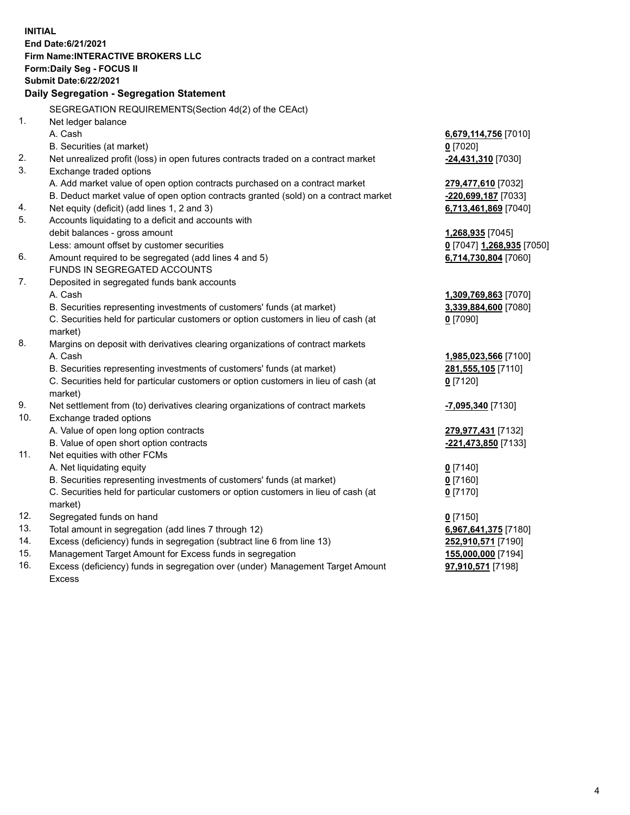**INITIAL End Date:6/21/2021 Firm Name:INTERACTIVE BROKERS LLC Form:Daily Seg - FOCUS II Submit Date:6/22/2021 Daily Segregation - Segregation Statement** SEGREGATION REQUIREMENTS(Section 4d(2) of the CEAct) 1. Net ledger balance A. Cash **6,679,114,756** [7010] B. Securities (at market) **0** [7020] 2. Net unrealized profit (loss) in open futures contracts traded on a contract market **-24,431,310** [7030] 3. Exchange traded options A. Add market value of open option contracts purchased on a contract market **279,477,610** [7032] B. Deduct market value of open option contracts granted (sold) on a contract market **-220,699,187** [7033] 4. Net equity (deficit) (add lines 1, 2 and 3) **6,713,461,869** [7040] 5. Accounts liquidating to a deficit and accounts with debit balances - gross amount **1,268,935** [7045] Less: amount offset by customer securities **0** [7047] **1,268,935** [7050] 6. Amount required to be segregated (add lines 4 and 5) **6,714,730,804** [7060] FUNDS IN SEGREGATED ACCOUNTS 7. Deposited in segregated funds bank accounts A. Cash **1,309,769,863** [7070] B. Securities representing investments of customers' funds (at market) **3,339,884,600** [7080] C. Securities held for particular customers or option customers in lieu of cash (at market) **0** [7090] 8. Margins on deposit with derivatives clearing organizations of contract markets A. Cash **1,985,023,566** [7100] B. Securities representing investments of customers' funds (at market) **281,555,105** [7110] C. Securities held for particular customers or option customers in lieu of cash (at market) **0** [7120] 9. Net settlement from (to) derivatives clearing organizations of contract markets **-7,095,340** [7130] 10. Exchange traded options A. Value of open long option contracts **279,977,431** [7132] B. Value of open short option contracts **-221,473,850** [7133] 11. Net equities with other FCMs A. Net liquidating equity **0** [7140] B. Securities representing investments of customers' funds (at market) **0** [7160] C. Securities held for particular customers or option customers in lieu of cash (at market) **0** [7170] 12. Segregated funds on hand **0** [7150] 13. Total amount in segregation (add lines 7 through 12) **6,967,641,375** [7180] 14. Excess (deficiency) funds in segregation (subtract line 6 from line 13) **252,910,571** [7190] 15. Management Target Amount for Excess funds in segregation **155,000,000** [7194]

16. Excess (deficiency) funds in segregation over (under) Management Target Amount Excess

**97,910,571** [7198]